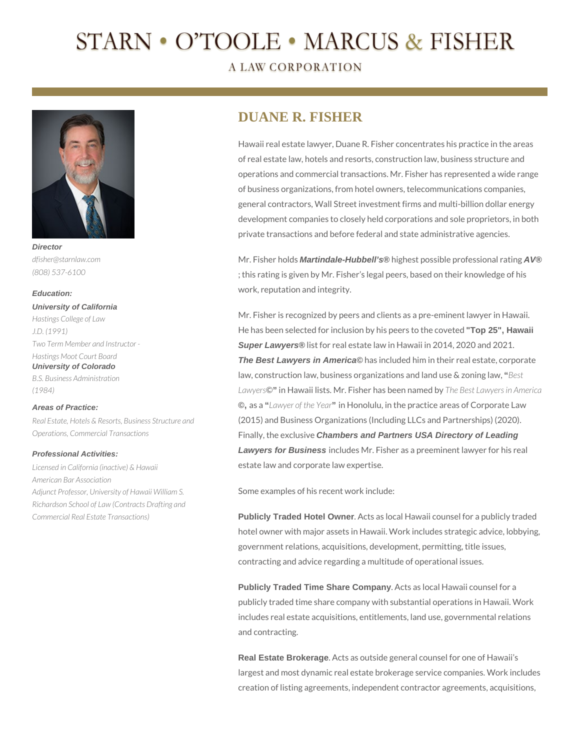# STARN • O'TOOLE • MARCUS & FISHER

**A LAW CORPORATION** 



*dfisher@starnlaw.com (808) 537-6100*

#### **Education:**

**University of California** *Hastings College of Law J.D. (1991) Two Term Member and Instructor - Hastings Moot Court Board* **University of Colorado** *B.S. Business Administration (1984)*

#### **Areas of Practice:**

*Real Estate, Hotels & Resorts, Business Structure and Operations, Commercial Transactions*

### **Professional Activities:**

*Licensed in California (inactive) & Hawaii American Bar Association Adjunct Professor, University of Hawaii William S. Richardson School of Law (Contracts Drafting and Commercial Real Estate Transactions)*

## **DUANE R. FISHER**

Hawaii real estate lawyer, Duane R. Fisher concentrates his practice in the areas of real estate law, hotels and resorts, construction law, business structure and operations and commercial transactions. Mr. Fisher has represented a wide range of business organizations, from hotel owners, telecommunications companies, general contractors, Wall Street investment firms and multi-billion dollar energy development companies to closely held corporations and sole proprietors, in both private transactions and before federal and state administrative agencies.

Mr. Fisher holds **Martindale-Hubbell's®** highest possible professional rating **AV®** ; this rating is given by Mr. Fisher's legal peers, based on their knowledge of his work, reputation and integrity.

Mr. Fisher is recognized by peers and clients as a pre-eminent lawyer in Hawaii. He has been selected for inclusion by his peers to the coveted **"Top 25", Hawaii Super Lawyers®** list for real estate law in Hawaii in 2014, 2020 and 2021. **The Best Lawyers in America©** has included him in their real estate, corporate law, construction law, business organizations and land use & zoning law, **"***Best Lawyers*©**"** in Hawaii lists. Mr. Fisher has been named by *The Best Lawyers in America* **©,** as a **"***Lawyer of the Year***"** in Honolulu, in the practice areas of Corporate Law (2015) and Business Organizations (Including LLCs and Partnerships) (2020). Finally, the exclusive **Chambers and Partners USA Directory of Leading Lawyers for Business** includes Mr. Fisher as a preeminent lawyer for his real estate law and corporate law expertise.

Some examples of his recent work include:

**Publicly Traded Hotel Owner**. Acts as local Hawaii counsel for a publicly traded hotel owner with major assets in Hawaii. Work includes strategic advice, lobbying, government relations, acquisitions, development, permitting, title issues, contracting and advice regarding a multitude of operational issues.

**Publicly Traded Time Share Company**. Acts as local Hawaii counsel for a publicly traded time share company with substantial operations in Hawaii. Work includes real estate acquisitions, entitlements, land use, governmental relations and contracting.

**Real Estate Brokerage**. Acts as outside general counsel for one of Hawaii's largest and most dynamic real estate brokerage service companies. Work includes creation of listing agreements, independent contractor agreements, acquisitions,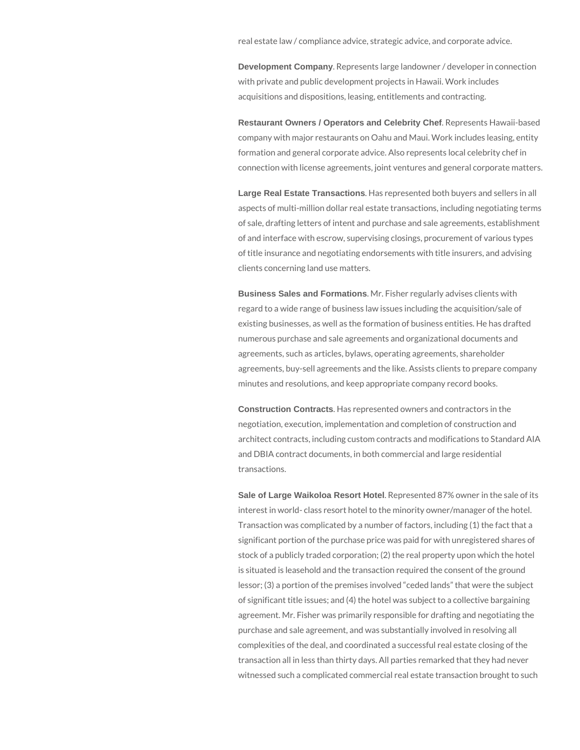real estate law / compliance advice, strategic advice, and corporate advice.

**Development Company**. Represents large landowner / developer in connection with private and public development projects in Hawaii. Work includes acquisitions and dispositions, leasing, entitlements and contracting.

**Restaurant Owners / Operators and Celebrity Chef**. Represents Hawaii-based company with major restaurants on Oahu and Maui. Work includes leasing, entity formation and general corporate advice. Also represents local celebrity chef in connection with license agreements, joint ventures and general corporate matters.

**Large Real Estate Transactions**. Has represented both buyers and sellers in all aspects of multi-million dollar real estate transactions, including negotiating terms of sale, drafting letters of intent and purchase and sale agreements, establishment of and interface with escrow, supervising closings, procurement of various types of title insurance and negotiating endorsements with title insurers, and advising clients concerning land use matters.

**Business Sales and Formations**. Mr. Fisher regularly advises clients with regard to a wide range of business law issues including the acquisition/sale of existing businesses, as well as the formation of business entities. He has drafted numerous purchase and sale agreements and organizational documents and agreements, such as articles, bylaws, operating agreements, shareholder agreements, buy-sell agreements and the like. Assists clients to prepare company minutes and resolutions, and keep appropriate company record books.

**Construction Contracts**. Has represented owners and contractors in the negotiation, execution, implementation and completion of construction and architect contracts, including custom contracts and modifications to Standard AIA and DBIA contract documents, in both commercial and large residential transactions.

**Sale of Large Waikoloa Resort Hotel**. Represented 87% owner in the sale of its interest in world- class resort hotel to the minority owner/manager of the hotel. Transaction was complicated by a number of factors, including (1) the fact that a significant portion of the purchase price was paid for with unregistered shares of stock of a publicly traded corporation; (2) the real property upon which the hotel is situated is leasehold and the transaction required the consent of the ground lessor; (3) a portion of the premises involved "ceded lands" that were the subject of significant title issues; and (4) the hotel was subject to a collective bargaining agreement. Mr. Fisher was primarily responsible for drafting and negotiating the purchase and sale agreement, and was substantially involved in resolving all complexities of the deal, and coordinated a successful real estate closing of the transaction all in less than thirty days. All parties remarked that they had never witnessed such a complicated commercial real estate transaction brought to such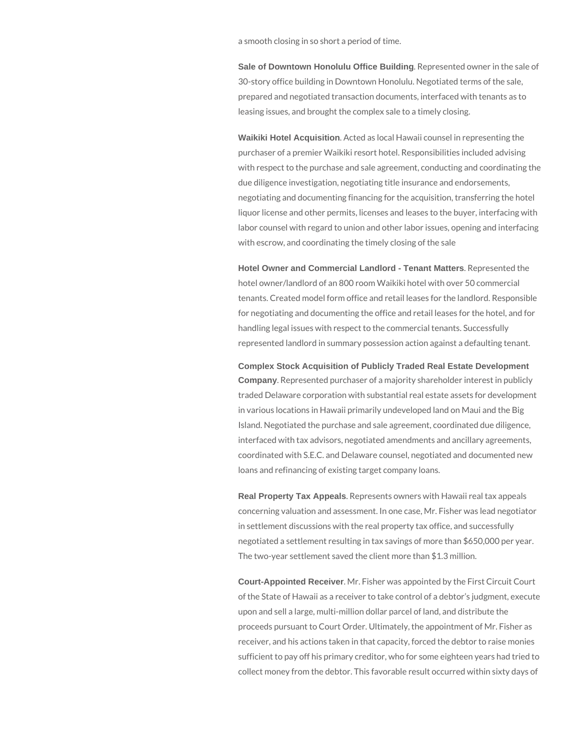a smooth closing in so short a period of time.

**Sale of Downtown Honolulu Office Building**. Represented owner in the sale of 30-story office building in Downtown Honolulu. Negotiated terms of the sale, prepared and negotiated transaction documents, interfaced with tenants as to leasing issues, and brought the complex sale to a timely closing.

**Waikiki Hotel Acquisition**. Acted as local Hawaii counsel in representing the purchaser of a premier Waikiki resort hotel. Responsibilities included advising with respect to the purchase and sale agreement, conducting and coordinating the due diligence investigation, negotiating title insurance and endorsements, negotiating and documenting financing for the acquisition, transferring the hotel liquor license and other permits, licenses and leases to the buyer, interfacing with labor counsel with regard to union and other labor issues, opening and interfacing with escrow, and coordinating the timely closing of the sale

**Hotel Owner and Commercial Landlord - Tenant Matters**. Represented the hotel owner/landlord of an 800 room Waikiki hotel with over 50 commercial tenants. Created model form office and retail leases for the landlord. Responsible for negotiating and documenting the office and retail leases for the hotel, and for handling legal issues with respect to the commercial tenants. Successfully represented landlord in summary possession action against a defaulting tenant.

**Complex Stock Acquisition of Publicly Traded Real Estate Development Company**. Represented purchaser of a majority shareholder interest in publicly traded Delaware corporation with substantial real estate assets for development in various locations in Hawaii primarily undeveloped land on Maui and the Big Island. Negotiated the purchase and sale agreement, coordinated due diligence, interfaced with tax advisors, negotiated amendments and ancillary agreements, coordinated with S.E.C. and Delaware counsel, negotiated and documented new loans and refinancing of existing target company loans.

**Real Property Tax Appeals**. Represents owners with Hawaii real tax appeals concerning valuation and assessment. In one case, Mr. Fisher was lead negotiator in settlement discussions with the real property tax office, and successfully negotiated a settlement resulting in tax savings of more than \$650,000 per year. The two-year settlement saved the client more than \$1.3 million.

**Court-Appointed Receiver**. Mr. Fisher was appointed by the First Circuit Court of the State of Hawaii as a receiver to take control of a debtor's judgment, execute upon and sell a large, multi-million dollar parcel of land, and distribute the proceeds pursuant to Court Order. Ultimately, the appointment of Mr. Fisher as receiver, and his actions taken in that capacity, forced the debtor to raise monies sufficient to pay off his primary creditor, who for some eighteen years had tried to collect money from the debtor. This favorable result occurred within sixty days of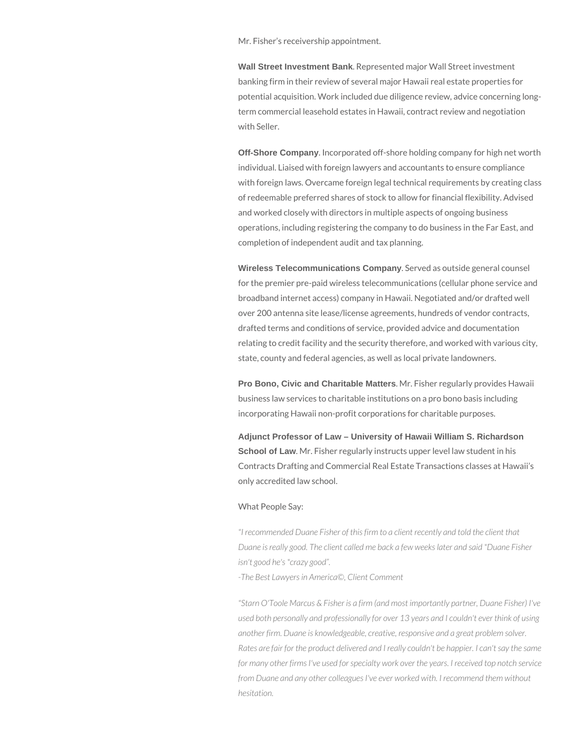Mr. Fisher's receivership appointment.

**Wall Street Investment Bank**. Represented major Wall Street investment banking firm in their review of several major Hawaii real estate properties for potential acquisition. Work included due diligence review, advice concerning longterm commercial leasehold estates in Hawaii, contract review and negotiation with Seller.

**Off-Shore Company**. Incorporated off-shore holding company for high net worth individual. Liaised with foreign lawyers and accountants to ensure compliance with foreign laws. Overcame foreign legal technical requirements by creating class of redeemable preferred shares of stock to allow for financial flexibility. Advised and worked closely with directors in multiple aspects of ongoing business operations, including registering the company to do business in the Far East, and completion of independent audit and tax planning.

**Wireless Telecommunications Company**. Served as outside general counsel for the premier pre-paid wireless telecommunications (cellular phone service and broadband internet access) company in Hawaii. Negotiated and/or drafted well over 200 antenna site lease/license agreements, hundreds of vendor contracts, drafted terms and conditions of service, provided advice and documentation relating to credit facility and the security therefore, and worked with various city, state, county and federal agencies, as well as local private landowners.

**Pro Bono, Civic and Charitable Matters**. Mr. Fisher regularly provides Hawaii business law services to charitable institutions on a pro bono basis including incorporating Hawaii non-profit corporations for charitable purposes.

**Adjunct Professor of Law – University of Hawaii William S. Richardson School of Law**. Mr. Fisher regularly instructs upper level law student in his Contracts Drafting and Commercial Real Estate Transactions classes at Hawaii's only accredited law school.

#### What People Say:

*"I recommended Duane Fisher of this firm to a client recently and told the client that Duane is really good. The client called me back a few weeks later and said "Duane Fisher isn't good he's "crazy good".*

*-The Best Lawyers in America©, Client Comment*

*"Starn O'Toole Marcus & Fisher is a firm (and most importantly partner, Duane Fisher) I've used both personally and professionally for over 13 years and I couldn't ever think of using another firm. Duane is knowledgeable, creative, responsive and a great problem solver. Rates are fair for the product delivered and I really couldn't be happier. I can't say the same for many other firms I've used for specialty work over the years. I received top notch service from Duane and any other colleagues I've ever worked with. I recommend them without hesitation.*